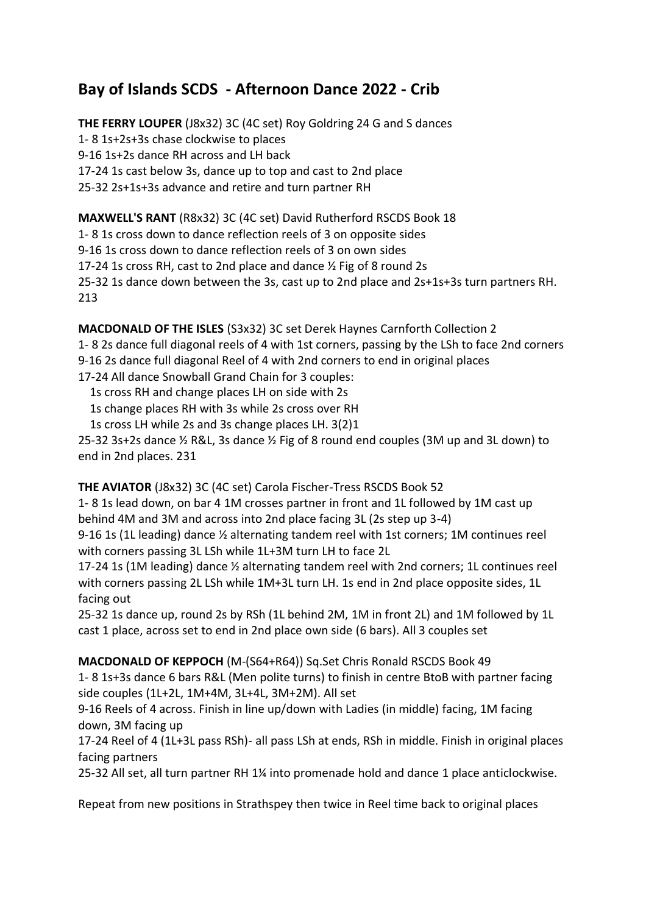# **Bay of Islands SCDS - Afternoon Dance 2022 - Crib**

**THE FERRY LOUPER** (J8x32) 3C (4C set) Roy Goldring 24 G and S dances 1- 8 1s+2s+3s chase clockwise to places 9-16 1s+2s dance RH across and LH back 17-24 1s cast below 3s, dance up to top and cast to 2nd place 25-32 2s+1s+3s advance and retire and turn partner RH

**MAXWELL'S RANT** (R8x32) 3C (4C set) David Rutherford RSCDS Book 18 1- 8 1s cross down to dance reflection reels of 3 on opposite sides 9-16 1s cross down to dance reflection reels of 3 on own sides 17-24 1s cross RH, cast to 2nd place and dance ½ Fig of 8 round 2s 25-32 1s dance down between the 3s, cast up to 2nd place and 2s+1s+3s turn partners RH. 213

### **MACDONALD OF THE ISLES** (S3x32) 3C set Derek Haynes Carnforth Collection 2

1- 8 2s dance full diagonal reels of 4 with 1st corners, passing by the LSh to face 2nd corners 9-16 2s dance full diagonal Reel of 4 with 2nd corners to end in original places

17-24 All dance Snowball Grand Chain for 3 couples:

1s cross RH and change places LH on side with 2s

1s change places RH with 3s while 2s cross over RH

1s cross LH while 2s and 3s change places LH. 3(2)1

25-32 3s+2s dance ½ R&L, 3s dance ½ Fig of 8 round end couples (3M up and 3L down) to end in 2nd places. 231

**THE AVIATOR** (J8x32) 3C (4C set) Carola Fischer-Tress RSCDS Book 52

1- 8 1s lead down, on bar 4 1M crosses partner in front and 1L followed by 1M cast up behind 4M and 3M and across into 2nd place facing 3L (2s step up 3-4)

9-16 1s (1L leading) dance ½ alternating tandem reel with 1st corners; 1M continues reel with corners passing 3L LSh while 1L+3M turn LH to face 2L

17-24 1s (1M leading) dance ½ alternating tandem reel with 2nd corners; 1L continues reel with corners passing 2L LSh while 1M+3L turn LH. 1s end in 2nd place opposite sides, 1L facing out

25-32 1s dance up, round 2s by RSh (1L behind 2M, 1M in front 2L) and 1M followed by 1L cast 1 place, across set to end in 2nd place own side (6 bars). All 3 couples set

**MACDONALD OF KEPPOCH** (M-(S64+R64)) Sq.Set Chris Ronald RSCDS Book 49

1- 8 1s+3s dance 6 bars R&L (Men polite turns) to finish in centre BtoB with partner facing side couples (1L+2L, 1M+4M, 3L+4L, 3M+2M). All set

9-16 Reels of 4 across. Finish in line up/down with Ladies (in middle) facing, 1M facing down, 3M facing up

17-24 Reel of 4 (1L+3L pass RSh)- all pass LSh at ends, RSh in middle. Finish in original places facing partners

25-32 All set, all turn partner RH 1¼ into promenade hold and dance 1 place anticlockwise.

Repeat from new positions in Strathspey then twice in Reel time back to original places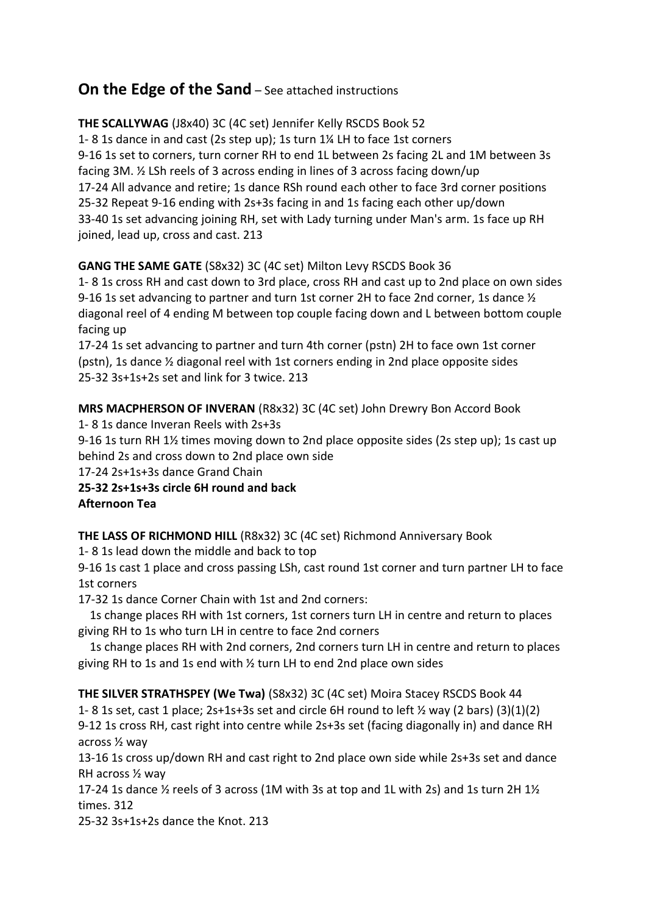## **On the Edge of the Sand** – See attached instructions

**THE SCALLYWAG** (J8x40) 3C (4C set) Jennifer Kelly RSCDS Book 52 1- 8 1s dance in and cast (2s step up); 1s turn 1¼ LH to face 1st corners 9-16 1s set to corners, turn corner RH to end 1L between 2s facing 2L and 1M between 3s facing 3M. ½ LSh reels of 3 across ending in lines of 3 across facing down/up 17-24 All advance and retire; 1s dance RSh round each other to face 3rd corner positions 25-32 Repeat 9-16 ending with 2s+3s facing in and 1s facing each other up/down 33-40 1s set advancing joining RH, set with Lady turning under Man's arm. 1s face up RH joined, lead up, cross and cast. 213

### **GANG THE SAME GATE** (S8x32) 3C (4C set) Milton Levy RSCDS Book 36

1- 8 1s cross RH and cast down to 3rd place, cross RH and cast up to 2nd place on own sides 9-16 1s set advancing to partner and turn 1st corner 2H to face 2nd corner, 1s dance  $\mathcal{V}_2$ diagonal reel of 4 ending M between top couple facing down and L between bottom couple facing up

17-24 1s set advancing to partner and turn 4th corner (pstn) 2H to face own 1st corner (pstn), 1s dance ½ diagonal reel with 1st corners ending in 2nd place opposite sides 25-32 3s+1s+2s set and link for 3 twice. 213

**MRS MACPHERSON OF INVERAN** (R8x32) 3C (4C set) John Drewry Bon Accord Book

1- 8 1s dance Inveran Reels with 2s+3s

9-16 1s turn RH 1½ times moving down to 2nd place opposite sides (2s step up); 1s cast up behind 2s and cross down to 2nd place own side

17-24 2s+1s+3s dance Grand Chain

**25-32 2s+1s+3s circle 6H round and back Afternoon Tea**

**THE LASS OF RICHMOND HILL** (R8x32) 3C (4C set) Richmond Anniversary Book

1- 8 1s lead down the middle and back to top

9-16 1s cast 1 place and cross passing LSh, cast round 1st corner and turn partner LH to face 1st corners

17-32 1s dance Corner Chain with 1st and 2nd corners:

1s change places RH with 1st corners, 1st corners turn LH in centre and return to places giving RH to 1s who turn LH in centre to face 2nd corners

1s change places RH with 2nd corners, 2nd corners turn LH in centre and return to places giving RH to 1s and 1s end with ½ turn LH to end 2nd place own sides

**THE SILVER STRATHSPEY (We Twa)** (S8x32) 3C (4C set) Moira Stacey RSCDS Book 44 1- 8 1s set, cast 1 place; 2s+1s+3s set and circle 6H round to left  $\frac{1}{2}$  way (2 bars) (3)(1)(2) 9-12 1s cross RH, cast right into centre while 2s+3s set (facing diagonally in) and dance RH across ½ way

13-16 1s cross up/down RH and cast right to 2nd place own side while 2s+3s set and dance RH across ½ way

17-24 1s dance ½ reels of 3 across (1M with 3s at top and 1L with 2s) and 1s turn 2H 1½ times. 312

25-32 3s+1s+2s dance the Knot. 213